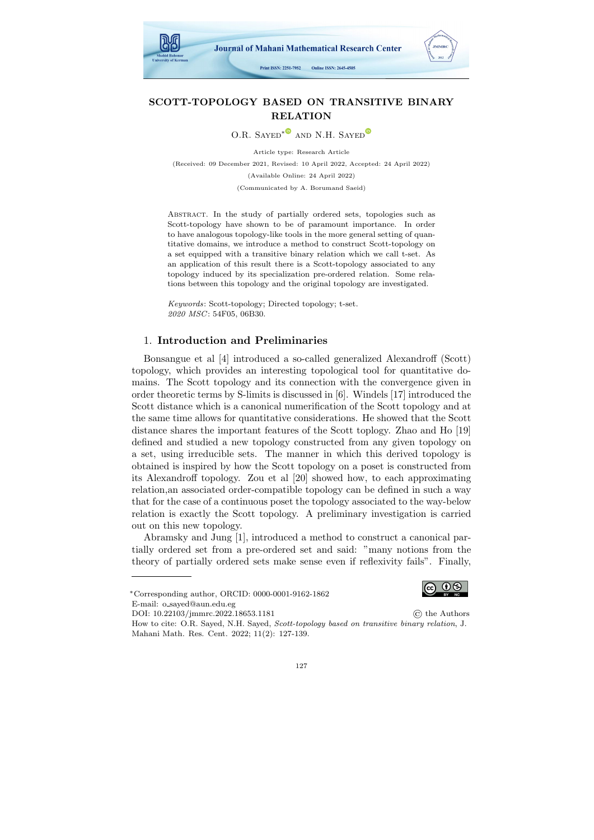

# SCOTT-TOPOLOGY BASED ON TRANSITIVE BINARY RELATION

O.R. SAYED<sup>[∗](https://orcid.org/0000-0001-9162-1862)</sub><sup>®</sup> AND N.H. SAYED<sup>®</sup></sup>

Article type: Research Article (Received: 09 December 2021, Revised: 10 April 2022, Accepted: 24 April 2022) (Available Online: 24 April 2022) (Communicated by A. Borumand Saeid)

Abstract. In the study of partially ordered sets, topologies such as Scott-topology have shown to be of paramount importance. In order to have analogous topology-like tools in the more general setting of quantitative domains, we introduce a method to construct Scott-topology on a set equipped with a transitive binary relation which we call t-set. As an application of this result there is a Scott-topology associated to any topology induced by its specialization pre-ordered relation. Some relations between this topology and the original topology are investigated.

Keywords: Scott-topology; Directed topology; t-set. 2020 MSC: 54F05, 06B30.

# 1. Introduction and Preliminaries

Bonsangue et al [\[4\]](#page-11-0) introduced a so-called generalized Alexandroff (Scott) topology, which provides an interesting topological tool for quantitative domains. The Scott topology and its connection with the convergence given in order theoretic terms by S-limits is discussed in [\[6\]](#page-11-1). Windels [\[17\]](#page-12-0) introduced the Scott distance which is a canonical numerification of the Scott topology and at the same time allows for quantitative considerations. He showed that the Scott distance shares the important features of the Scott toplogy. Zhao and Ho [\[19\]](#page-12-1) defined and studied a new topology constructed from any given topology on a set, using irreducible sets. The manner in which this derived topology is obtained is inspired by how the Scott topology on a poset is constructed from its Alexandroff topology. Zou et al [\[20\]](#page-12-2) showed how, to each approximating relation,an associated order-compatible topology can be defined in such a way that for the case of a continuous poset the topology associated to the way-below relation is exactly the Scott topology. A preliminary investigation is carried out on this new topology.

Abramsky and Jung [\[1\]](#page-11-2), introduced a method to construct a canonical partially ordered set from a pre-ordered set and said: "many notions from the theory of partially ordered sets make sense even if reflexivity fails". Finally,



How to cite: O.R. Sayed, N.H. Sayed, Scott-topology based on transitive binary relation, J. Mahani Math. Res. Cent. 2022; 11(2): 127-139.



<sup>∗</sup>Corresponding author, ORCID: 0000-0001-9162-1862 E-mail: o sayed@aun.edu.eg

DOI: [10.22103/jmmrc.2022.18653.1181](https://jmmrc.uk.ac.ir/article_3266.html) © the Authors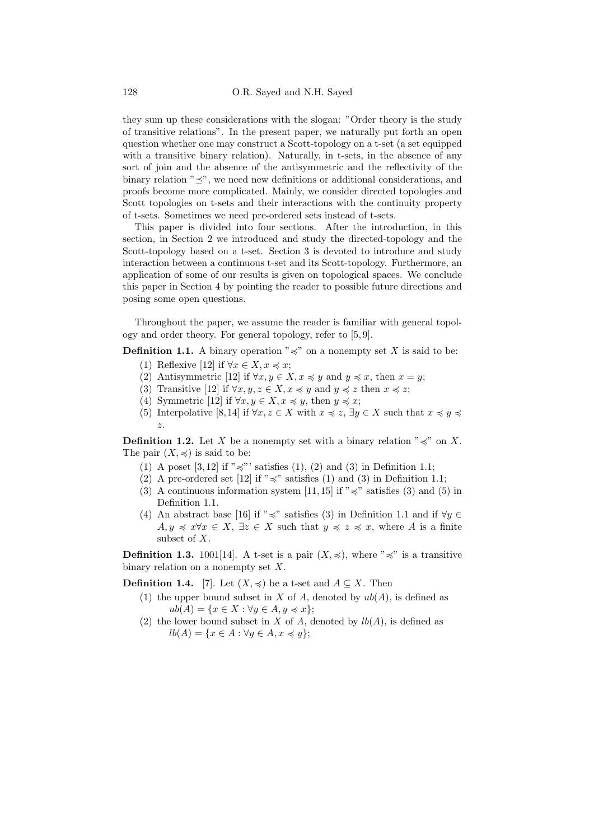they sum up these considerations with the slogan: "Order theory is the study of transitive relations". In the present paper, we naturally put forth an open question whether one may construct a Scott-topology on a t-set (a set equipped with a transitive binary relation). Naturally, in t-sets, in the absence of any sort of join and the absence of the antisymmetric and the reflectivity of the binary relation  $"\preceq$ ", we need new definitions or additional considerations, and proofs become more complicated. Mainly, we consider directed topologies and Scott topologies on t-sets and their interactions with the continuity property of t-sets. Sometimes we need pre-ordered sets instead of t-sets.

This paper is divided into four sections. After the introduction, in this section, in Section 2 we introduced and study the directed-topology and the Scott-topology based on a t-set. Section 3 is devoted to introduce and study interaction between a continuous t-set and its Scott-topology. Furthermore, an application of some of our results is given on topological spaces. We conclude this paper in Section 4 by pointing the reader to possible future directions and posing some open questions.

Throughout the paper, we assume the reader is familiar with general topology and order theory. For general topology, refer to [\[5,](#page-11-3) [9\]](#page-12-3).

**Definition 1.1.** A binary operation " $\preccurlyeq$ " on a nonempty set X is said to be: (1) Reflexive [\[12\]](#page-12-4) if  $\forall x \in X, x \leq x;$ 

- 
- (2) Antisymmetric [\[12\]](#page-12-4) if  $\forall x, y \in X, x \leq y$  and  $y \leq x$ , then  $x = y$ ;
- (3) Transitive [\[12\]](#page-12-4) if  $\forall x, y, z \in X, x \preccurlyeq y$  and  $y \preccurlyeq z$  then  $x \preccurlyeq z$ ;
- (4) Symmetric [\[12\]](#page-12-4) if  $\forall x, y \in X, x \preccurlyeq y$ , then  $y \preccurlyeq x$ ;
- (5) Interpolative [\[8,](#page-12-5) [14\]](#page-12-6) if  $\forall x, z \in X$  with  $x \preccurlyeq z$ ,  $\exists y \in X$  such that  $x \preccurlyeq y \preccurlyeq z$ z.

**Definition 1.2.** Let X be a nonempty set with a binary relation " $\preccurlyeq$ " on X. The pair  $(X, \preccurlyeq)$  is said to be:

- (1) A poset [\[3,](#page-11-4) [12\]](#page-12-4) if " $\preccurlyeq$ "' satisfies (1), (2) and (3) in Definition 1.1;
- (2) A pre-ordered set [\[12\]](#page-12-4) if " $\preccurlyeq$ " satisfies (1) and (3) in Definition 1.1;
- (3) A continuous information system [\[11,](#page-12-7) [15\]](#page-12-8) if " $\preccurlyeq$ " satisfies (3) and (5) in Definition 1.1.
- (4) An abstract base [\[16\]](#page-12-9) if " $\preccurlyeq$ " satisfies (3) in Definition 1.1 and if  $\forall y \in$  $A, y \preccurlyeq x \forall x \in X, \exists z \in X \text{ such that } y \preccurlyeq z \preccurlyeq x, \text{ where } A \text{ is a finite}$ subset of X.

**Definition 1.3.** 1001[\[14\]](#page-12-6). A t-set is a pair  $(X, \preccurlyeq)$ , where " $\preccurlyeq$ " is a transitive binary relation on a nonempty set  $X$ .

**Definition 1.4.** [\[7\]](#page-11-5). Let  $(X, \preccurlyeq)$  be a t-set and  $A \subseteq X$ . Then

- (1) the upper bound subset in X of A, denoted by  $ub(A)$ , is defined as  $ub(A) = \{x \in X : \forall y \in A, y \preccurlyeq x\};$
- (2) the lower bound subset in X of A, denoted by  $lb(A)$ , is defined as  $lb(A) = \{x \in A : \forall y \in A, x \preccurlyeq y\};$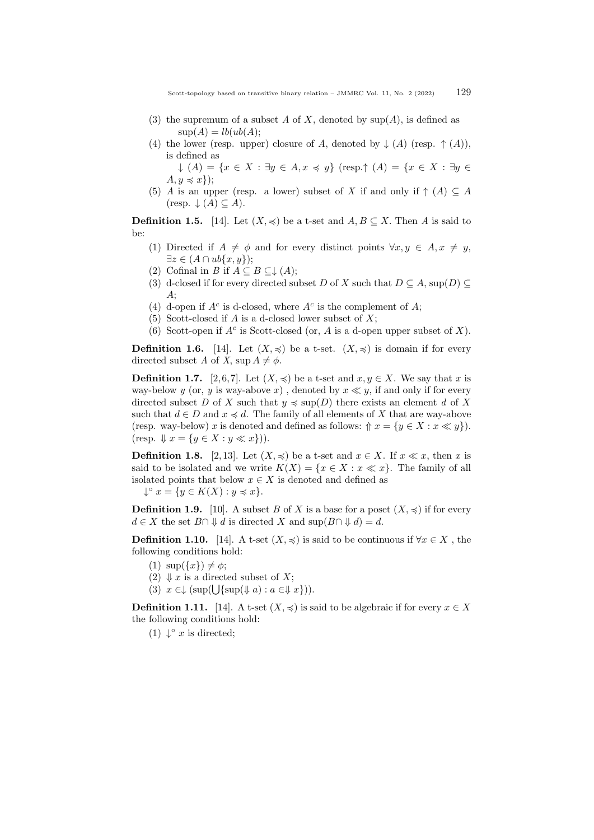- (3) the supremum of a subset A of X, denoted by  $\text{sup}(A)$ , is defined as  $\text{sup}(A) = lb(ub(A))$
- (4) the lower (resp. upper) closure of A, denoted by  $\downarrow$  (A) (resp.  $\uparrow$  (A)), is defined as

 $\downarrow$   $(A) = \{x \in X : \exists y \in A, x \preccurlyeq y\}$  (resp. $\uparrow$   $(A) = \{x \in X : \exists y \in A\}$  $A, y \preccurlyeq x$ );

(5) A is an upper (resp. a lower) subset of X if and only if  $\uparrow$  (A)  $\subseteq$  A  $(\text{resp.} \downarrow (A) \subseteq A).$ 

**Definition 1.5.** [\[14\]](#page-12-6). Let  $(X, \preccurlyeq)$  be a t-set and  $A, B \subseteq X$ . Then A is said to be:

- (1) Directed if  $A \neq \phi$  and for every distinct points  $\forall x, y \in A, x \neq y$ ,  $\exists z \in (A \cap ub\{x,y\});$
- (2) Cofinal in B if  $A \subseteq B \subseteq \downarrow (A);$
- (3) d-closed if for every directed subset D of X such that  $D \subseteq A$ , sup $(D) \subseteq$  $A;$
- (4) d-open if  $A^c$  is d-closed, where  $A^c$  is the complement of  $A$ ;
- (5) Scott-closed if A is a d-closed lower subset of  $X$ ;
- (6) Scott-open if  $A^c$  is Scott-closed (or, A is a d-open upper subset of X).

**Definition 1.6.** [\[14\]](#page-12-6). Let  $(X, \preccurlyeq)$  be a t-set.  $(X, \preccurlyeq)$  is domain if for every directed subset A of X, sup  $A \neq \phi$ .

**Definition 1.7.** [\[2,](#page-11-6)6,7]. Let  $(X, \preccurlyeq)$  be a t-set and  $x, y \in X$ . We say that x is way-below y (or, y is way-above x), denoted by  $x \ll y$ , if and only if for every directed subset D of X such that  $y \preccurlyeq \text{sup}(D)$  there exists an element d of X such that  $d \in D$  and  $x \preccurlyeq d$ . The family of all elements of X that are way-above (resp. way-below) x is denoted and defined as follows:  $\Uparrow x = \{y \in X : x \ll y\}.$  $(\text{resp. } \Downarrow x = \{y \in X : y \ll x\})$ ).

**Definition 1.8.** [\[2,](#page-11-6) [13\]](#page-12-10). Let  $(X, \preccurlyeq)$  be a t-set and  $x \in X$ . If  $x \ll x$ , then x is said to be isolated and we write  $K(X) = \{x \in X : x \ll x\}$ . The family of all isolated points that below  $x \in X$  is denoted and defined as

 $\downarrow^{\circ} x = \{y \in K(X) : y \preccurlyeq x\}.$ 

**Definition 1.9.** [\[10\]](#page-12-11). A subset B of X is a base for a poset  $(X, \preccurlyeq)$  if for every  $d \in X$  the set  $B \cap \mathcal{V} d$  is directed X and sup $(B \cap \mathcal{V} d) = d$ .

**Definition 1.10.** [\[14\]](#page-12-6). A t-set  $(X, \preccurlyeq)$  is said to be continuous if  $\forall x \in X$ , the following conditions hold:

- (1)  $\sup(\{x\}) \neq \phi;$
- (2)  $\downarrow x$  is a directed subset of X;
- (3)  $x \in \downarrow (\sup(\bigcup \{ \sup(\Downarrow a) : a \in \Downarrow x \})).$

**Definition 1.11.** [\[14\]](#page-12-6). A t-set  $(X, \preccurlyeq)$  is said to be algebraic if for every  $x \in X$ the following conditions hold:

(1)  $\downarrow^{\circ} x$  is directed;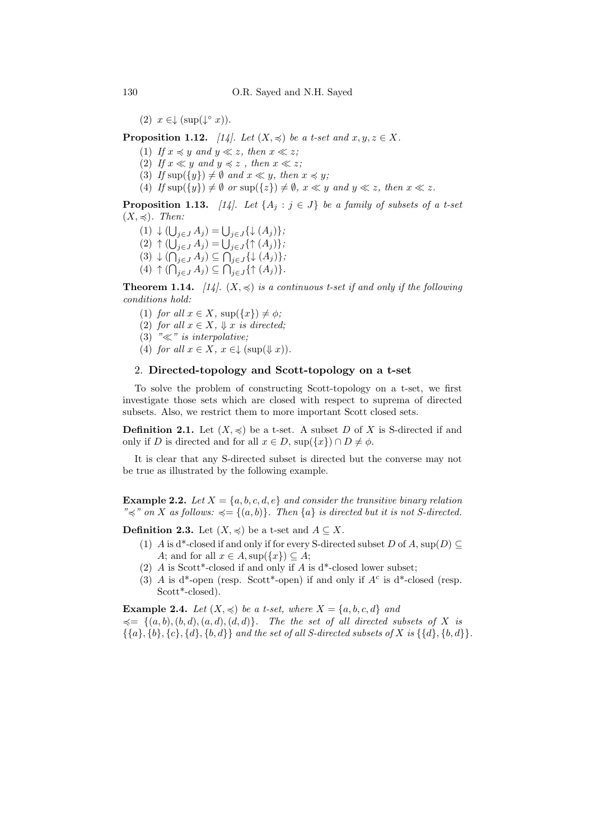(2)  $x \in \downarrow (\sup(\downarrow^{\circ} x))$ .

**Proposition 1.12.** [\[14\]](#page-12-6). Let  $(X, \preccurlyeq)$  be a t-set and  $x, y, z \in X$ .

- (1) If  $x \preccurlyeq y$  and  $y \ll z$ , then  $x \ll z$ ;
- (2) If  $x \ll y$  and  $y \preccurlyeq z$ , then  $x \ll z$ ;
- (3) If  $\sup({y}) \neq \emptyset$  and  $x \ll y$ , then  $x \preccurlyeq y$ ;
- (4) If  $\sup({y}) \neq \emptyset$  or  $\sup({z}) \neq \emptyset$ ,  $x \ll y$  and  $y \ll z$ , then  $x \ll z$ .

**Proposition 1.13.** [\[14\]](#page-12-6). Let  $\{A_i : j \in J\}$  be a family of subsets of a t-set  $(X, \preccurlyeq)$ . Then:

- $(1) \downarrow ( \bigcup_{j \in J} A_j ) = \bigcup_{j \in J} \{ \downarrow (A_j) \};$
- $(2) \uparrow (\bigcup_{j \in J} A_j) = \bigcup_{j \in J} {\uparrow (A_j)};$
- $(3) \downarrow (\bigcap_{j \in J} A_j) \subseteq \bigcap_{j \in J} \{ \downarrow (A_j) \};$
- $(4) \uparrow (\bigcap_{j \in J} A_j) \subseteq \bigcap_{j \in J} {\uparrow (A_j)}.$

**Theorem 1.14.** [\[14\]](#page-12-6).  $(X, \preccurlyeq)$  is a continuous t-set if and only if the following conditions hold:

- (1) for all  $x \in X$ ,  $\sup(\{x\}) \neq \phi$ ;
- (2) for all  $x \in X$ ,  $\Downarrow x$  is directed;
- (3) " $\ll$ " is interpolative;
- (4) for all  $x \in X$ ,  $x \in \downarrow (\sup(\Downarrow x))$ .

# 2. Directed-topology and Scott-topology on a t-set

To solve the problem of constructing Scott-topology on a t-set, we first investigate those sets which are closed with respect to suprema of directed subsets. Also, we restrict them to more important Scott closed sets.

**Definition 2.1.** Let  $(X, \preccurlyeq)$  be a t-set. A subset D of X is S-directed if and only if D is directed and for all  $x \in D$ ,  $\sup({x}) \cap D \neq \emptyset$ .

It is clear that any S-directed subset is directed but the converse may not be true as illustrated by the following example.

**Example 2.2.** Let  $X = \{a, b, c, d, e\}$  and consider the transitive binary relation " $\preceq$ " on X as follows:  $\preceq$  = {(a, b)}. Then {a} is directed but it is not S-directed.

**Definition 2.3.** Let  $(X, \preccurlyeq)$  be a t-set and  $A \subseteq X$ .

- (1) A is d<sup>\*</sup>-closed if and only if for every S-directed subset D of A, sup(D)  $\subset$ A; and for all  $x \in A$ , sup $({x}) \subseteq A$ ;
- (2) A is Scott\*-closed if and only if A is  $d^*$ -closed lower subset;
- (3) A is d\*-open (resp. Scott\*-open) if and only if  $A<sup>c</sup>$  is d\*-closed (resp. Scott\*-closed).

**Example 2.4.** Let  $(X, \preccurlyeq)$  be a t-set, where  $X = \{a, b, c, d\}$  and  $\preccurlyeq = \{(a, b), (b, d), (a, d), (d, d)\}.$  The the set of all directed subsets of X is  $\{\{a\}, \{b\}, \{c\}, \{d\}, \{b, d\}\}\$ and the set of all S-directed subsets of X is  $\{\{d\}, \{b, d\}\}.$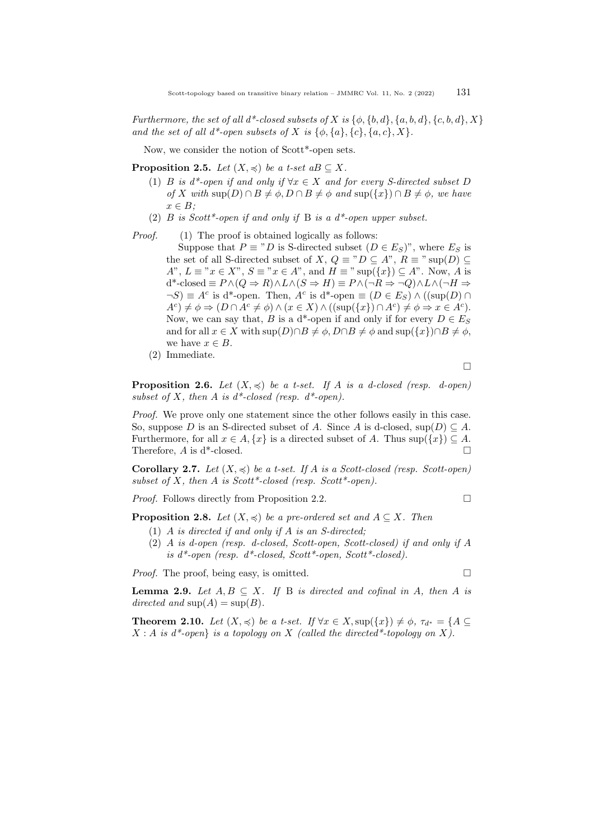Furthermore, the set of all  $d^*$ -closed subsets of X is  $\{\phi, \{b, d\}, \{a, b, d\}, \{c, b, d\}, X\}$ and the set of all  $d^*$ -open subsets of X is  $\{\phi, \{a\}, \{c\}, \{a, c\}, X\}.$ 

Now, we consider the notion of Scott\*-open sets.

**Proposition 2.5.** Let  $(X, \preccurlyeq)$  be a t-set aB  $\subseteq X$ .

- (1) B is d\*-open if and only if  $\forall x \in X$  and for every S-directed subset D of X with  $\sup(D) \cap B \neq \phi$ ,  $D \cap B \neq \phi$  and  $\sup(\{x\}) \cap B \neq \phi$ , we have  $x \in B$ :
- (2)  $B$  is Scott\*-open if and only if B is a  $d^*$ -open upper subset.

Proof. (1) The proof is obtained logically as follows:

Suppose that  $P \equiv "D$  is S-directed subset  $(D \in E_S)"$ , where  $E_S$  is the set of all S-directed subset of X,  $Q \equiv "D \subseteq A", R \equiv "sup(D) \subseteq$  $A^{\prime\prime}, L \equiv {\prime\prime} x \in X^{\prime\prime}, S \equiv {\prime\prime} x \in A^{\prime\prime}$ , and  $H \equiv {\prime\prime} \sup({x}) \subseteq A^{\prime\prime}$ . Now, A is  $d^*$ -closed  $\equiv P \wedge (Q \Rightarrow R) \wedge L \wedge (S \Rightarrow H) \equiv P \wedge (\neg R \Rightarrow \neg Q) \wedge L \wedge (\neg H \Rightarrow$  $\neg S$ )  $\equiv A^c$  is d<sup>\*</sup>-open. Then,  $A^c$  is d<sup>\*</sup>-open  $\equiv (D \in E_S) \wedge ((\sup(D) \cap E_S))$  $A^{c}$   $\not\equiv \phi \Rightarrow (D \cap A^{c} \neq \phi) \land (x \in X) \land ((\sup(\{x\}) \cap A^{c}) \neq \phi \Rightarrow x \in A^{c}).$ Now, we can say that, B is a d<sup>\*</sup>-open if and only if for every  $D \in E_S$ and for all  $x \in X$  with  $\sup(D) \cap B \neq \phi$ ,  $D \cap B \neq \phi$  and  $\sup(\{x\}) \cap B \neq \phi$ , we have  $x \in B$ .

(2) Immediate.

$$
\Box
$$

**Proposition 2.6.** Let  $(X, \preccurlyeq)$  be a t-set. If A is a d-closed (resp. d-open) subset of X, then A is  $d^*$ -closed (resp.  $d^*$ -open).

Proof. We prove only one statement since the other follows easily in this case. So, suppose D is an S-directed subset of A. Since A is d-closed,  $\text{sup}(D) \subseteq A$ . Furthermore, for all  $x \in A, \{x\}$  is a directed subset of A. Thus sup $(\{x\}) \subseteq A$ . Therefore,  $A$  is d<sup>\*</sup>-closed.  $\Box$ 

**Corollary 2.7.** Let  $(X, \preccurlyeq)$  be a t-set. If A is a Scott-closed (resp. Scott-open) subset of X, then A is Scott\*-closed (resp. Scott\*-open).

*Proof.* Follows directly from Proposition 2.2.

**Proposition 2.8.** Let  $(X, \preccurlyeq)$  be a pre-ordered set and  $A \subseteq X$ . Then

- (1) A is directed if and only if A is an S-directed;
- (2) A is d-open (resp. d-closed, Scott-open, Scott-closed) if and only if A is  $d^*$ -open (resp.  $d^*$ -closed, Scott<sup>\*</sup>-open, Scott<sup>\*</sup>-closed).

*Proof.* The proof, being easy, is omitted.  $\square$ 

**Lemma 2.9.** Let  $A, B \subseteq X$ . If B is directed and cofinal in A, then A is directed and  $\text{sup}(A) = \text{sup}(B)$ .

**Theorem 2.10.** Let  $(X, \preccurlyeq)$  be a t-set. If  $\forall x \in X$ , sup $(\{x\}) \neq \emptyset$ ,  $\tau_{d^*} = \{A \subseteq$  $X : A$  is  $d^*$ -open} is a topology on X (called the directed\*-topology on X).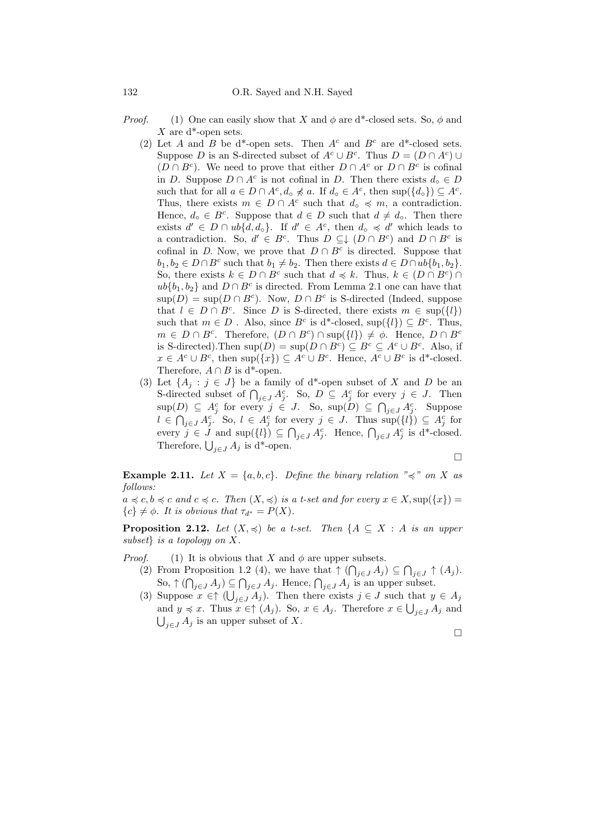- *Proof.* (1) One can easily show that X and  $\phi$  are d\*-closed sets. So,  $\phi$  and X are  $d^*$ -open sets.
	- (2) Let A and B be d<sup>\*</sup>-open sets. Then  $A<sup>c</sup>$  and  $B<sup>c</sup>$  are d<sup>\*</sup>-closed sets. Suppose D is an S-directed subset of  $A^c \cup B^c$ . Thus  $D = (D \cap A^c) \cup$  $(D \cap B^c)$ . We need to prove that either  $D \cap A^c$  or  $D \cap B^c$  is cofinal in D. Suppose  $D \cap A^c$  is not cofinal in D. Then there exists  $d_0 \in D$ such that for all  $a \in D \cap A^c, d_\circ \nless a$ . If  $d_\circ \in A^c$ , then  $\sup(\{d_\circ\}) \subseteq A^c$ . Thus, there exists  $m \in D \cap A^c$  such that  $d_0 \preccurlyeq m$ , a contradiction. Hence,  $d_0 \in B^c$ . Suppose that  $d \in D$  such that  $d \neq d_0$ . Then there exists  $d' \in D \cap ub\{d, d_{o}\}.$  If  $d' \in A^{c}$ , then  $d_{o} \preccurlyeq d'$  which leads to a contradiction. So,  $d' \in B^c$ . Thus  $D \subseteq \downarrow (D \cap B^c)$  and  $D \cap B^c$  is cofinal in D. Now, we prove that  $D \cap B^c$  is directed. Suppose that  $b_1, b_2 \in D \cap B^c$  such that  $b_1 \neq b_2$ . Then there exists  $d \in D \cap ub(b_1, b_2)$ . So, there exists  $k \in D \cap B^c$  such that  $d \preccurlyeq k$ . Thus,  $k \in (D \cap B^c) \cap B^c$  $ub{b_1, b_2}$  and  $D \cap B^c$  is directed. From Lemma 2.1 one can have that  $\sup(D) = \sup(D \cap B^c)$ . Now,  $D \cap B^c$  is S-directed (Indeed, suppose that  $l \in D \cap B^c$ . Since D is S-directed, there exists  $m \in \text{sup}(\{l\})$ such that  $m \in D$ . Also, since  $B^c$  is d<sup>\*</sup>-closed, sup( $\{l\}$ )  $\subseteq B^c$ . Thus,  $m \in D \cap B^c$ . Therefore,  $(D \cap B^c) \cap \text{sup}(\{l\}) \neq \emptyset$ . Hence,  $D \cap B^c$ is S-directed). Then  $\text{sup}(D) = \text{sup}(D \cap B^c) \subseteq B^c \subseteq A^c \cup B^c$ . Also, if  $x \in A^c \cup B^c$ , then  $\sup(\{x\}) \subseteq A^c \cup B^c$ . Hence,  $A^c \cup B^c$  is d<sup>\*</sup>-closed. Therefore,  $A \cap B$  is d<sup>\*</sup>-open.
	- (3) Let  $\{A_j : j \in J\}$  be a family of d<sup>\*</sup>-open subset of X and D be an S-directed subset of  $\bigcap_{j\in J} A_j^c$ . So,  $D \subseteq A_j^c$  for every  $j \in J$ . Then  $\text{sup}(D) \subseteq A_j^c$  for every  $j \in J$ . So,  $\text{sup}(\tilde{D}) \subseteq \bigcap_{j \in J} A_j^c$ . Suppose  $l \in \bigcap_{j\in J} A_j^c$ . So,  $l \in A_j^c$  for every  $j \in J$ . Thus  $\sup(l)$   $\subseteq A_j^c$  for every  $j \in J$  and  $\sup(\{l\}) \subseteq \bigcap_{j \in J} A_j^c$ . Hence,  $\bigcap_{j \in J} A_j^c$  is d<sup>\*</sup>-closed. Therefore,  $\bigcup_{j\in J} A_j$  is d<sup>\*</sup>-open.

$$
\Box
$$

**Example 2.11.** Let  $X = \{a, b, c\}$ . Define the binary relation " $\preccurlyeq$ " on X as follows:

 $a \preccurlyeq c, b \preccurlyeq c$  and  $c \preccurlyeq c$ . Then  $(X, \preccurlyeq)$  is a t-set and for every  $x \in X$ , sup $(\lbrace x \rbrace)$  =  ${c} \neq \phi$ . It is obvious that  $\tau_{d^*} = P(X)$ .

**Proposition 2.12.** Let  $(X, \preccurlyeq)$  be a t-set. Then  $\{A \subseteq X : A \text{ is an upper}\}$ subset} is a topology on X.

*Proof.* (1) It is obvious that X and  $\phi$  are upper subsets.

- (2) From Proposition 1.2 (4), we have that  $\uparrow (\bigcap_{j\in J} A_j) \subseteq \bigcap_{j\in J} \uparrow (A_j)$ . So,  $\uparrow(\bigcap_{j\in J}A_j)\subseteq\bigcap_{j\in J}A_j$ . Hence,  $\bigcap_{j\in J}A_j$  is an upper subset.
- (3) Suppose  $x \in \uparrow (\bigcup_{j \in J} A_j)$ . Then there exists  $j \in J$  such that  $y \in A_j$ and  $y \preccurlyeq x$ . Thus  $x \in \uparrow (A_j)$ . So,  $x \in A_j$ . Therefore  $x \in \bigcup_{j \in J} A_j$  and  $\bigcup_{j\in J} A_j$  is an upper subset of X.

$$
\Box
$$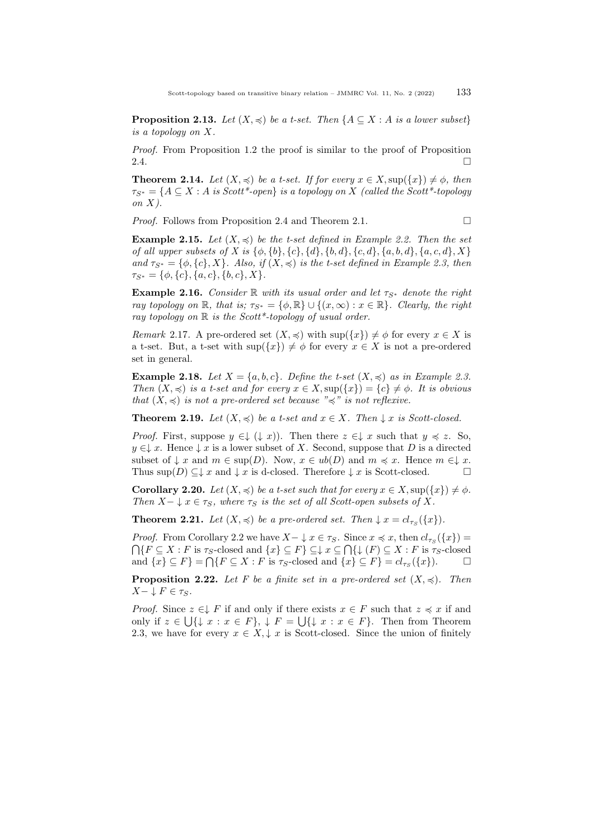**Proposition 2.13.** Let  $(X, \preccurlyeq)$  be a t-set. Then  $\{A \subseteq X : A \text{ is a lower subset}\}\$ is a topology on X.

Proof. From Proposition 1.2 the proof is similar to the proof of Proposition 2.4.

**Theorem 2.14.** Let  $(X, \preccurlyeq)$  be a t-set. If for every  $x \in X$ , sup $(\{x\}) \neq \phi$ , then  $\tau_{S^*} = \{A \subseteq X : A \text{ is Scott*-open}\}$  is a topology on X (called the Scott\*-topology on  $X$ ).

*Proof.* Follows from Proposition 2.4 and Theorem 2.1.  $\Box$ 

**Example 2.15.** Let  $(X, \preccurlyeq)$  be the t-set defined in Example 2.2. Then the set of all upper subsets of X is  $\{\phi, \{b\}, \{c\}, \{d\}, \{b, d\}, \{c, d\}, \{a, b, d\}, \{a, c, d\}, X\}$ and  $\tau_{S^*} = \{\phi, \{c\}, X\}$ . Also, if  $(X, \preccurlyeq)$  is the t-set defined in Example 2.3, then  $\tau_{S^*} = \{\phi, \{c\}, \{a, c\}, \{b, c\}, X\}.$ 

**Example 2.16.** Consider R with its usual order and let  $\tau_{S^*}$  denote the right ray topology on R, that is;  $\tau_{S^*} = \{\phi, \mathbb{R}\} \cup \{(x, \infty) : x \in \mathbb{R}\}\$ . Clearly, the right ray topology on  $\mathbb R$  is the Scott\*-topology of usual order.

Remark 2.17. A pre-ordered set  $(X, \preccurlyeq)$  with  $\sup(\{x\}) \neq \phi$  for every  $x \in X$  is a t-set. But, a t-set with  $\sup(\{x\}) \neq \phi$  for every  $x \in X$  is not a pre-ordered set in general.

**Example 2.18.** Let  $X = \{a, b, c\}$ . Define the t-set  $(X, \preccurlyeq)$  as in Example 2.3. Then  $(X, \preccurlyeq)$  is a t-set and for every  $x \in X$ ,  $\sup(\{x\}) = \{c\} \neq \emptyset$ . It is obvious that  $(X, \preccurlyeq)$  is not a pre-ordered set because " $\preccurlyeq$ " is not reflexive.

**Theorem 2.19.** Let  $(X, \preccurlyeq)$  be a t-set and  $x \in X$ . Then  $\downarrow x$  is Scott-closed.

*Proof.* First, suppose  $y \in \downarrow (\downarrow x)$ . Then there  $z \in \downarrow x$  such that  $y \preccurlyeq z$ . So,  $y \in \downarrow x$ . Hence  $\downarrow x$  is a lower subset of X. Second, suppose that D is a directed subset of  $\downarrow x$  and  $m \in \text{sup}(D)$ . Now,  $x \in ub(D)$  and  $m \preccurlyeq x$ . Hence  $m \in \downarrow x$ . Thus  $\sup(D) \subseteq \downarrow x$  and  $\downarrow x$  is d-closed. Therefore  $\downarrow x$  is Scott-closed.  $\Box$ 

**Corollary 2.20.** Let  $(X, \preccurlyeq)$  be a t-set such that for every  $x \in X$ ,  $\sup(\{x\}) \neq \emptyset$ . Then  $X-\downarrow x \in \tau_S$ , where  $\tau_S$  is the set of all Scott-open subsets of X.

**Theorem 2.21.** Let  $(X, \preccurlyeq)$  be a pre-ordered set. Then  $\downarrow x = cl_{\tau_S}(\lbrace x \rbrace)$ .

*Proof.* From Corollary 2.2 we have  $X - \downarrow x \in \tau_S$ . Since  $x \preccurlyeq x$ , then  $cl_{\tau_S}(\lbrace x \rbrace) =$  $\bigcap \{F \subseteq X : F \text{ is } \tau_S\text{-closed and } \{x\} \subseteq F\} \subseteq \downarrow x \subseteq \bigcap \{ \downarrow (F) \subseteq X : F \text{ is } \tau_S\text{-closed} \}$ and  $\{x\} \subseteq F$  =  $\bigcap \{F \subseteq X : F \text{ is } \tau_S\text{-closed and } \{x\} \subseteq F\} = cl_{\tau_S}(\{x\}).$ 

**Proposition 2.22.** Let F be a finite set in a pre-ordered set  $(X, \preccurlyeq)$ . Then  $X-\downarrow F\in\tau_S$ .

*Proof.* Since  $z \in \downarrow F$  if and only if there exists  $x \in F$  such that  $z \preccurlyeq x$  if and only if  $z \in \bigcup \{\downarrow x : x \in F\}, \downarrow F = \bigcup \{\downarrow x : x \in F\}.$  Then from Theorem 2.3, we have for every  $x \in X, \downarrow x$  is Scott-closed. Since the union of finitely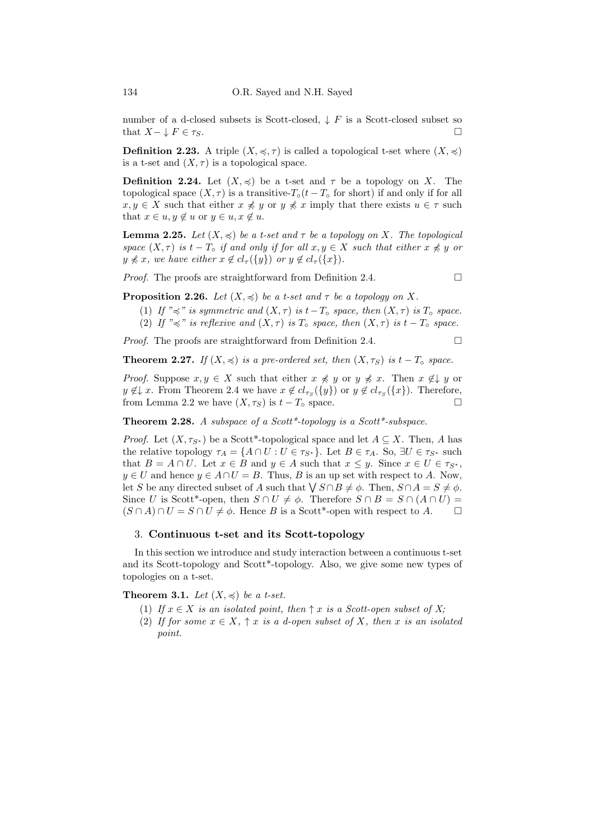number of a d-closed subsets is Scott-closed,  $\downarrow$  F is a Scott-closed subset so that  $X-\downarrow F \in \tau_S$ .

**Definition 2.23.** A triple  $(X, \preccurlyeq, \tau)$  is called a topological t-set where  $(X, \preccurlyeq)$ is a t-set and  $(X, \tau)$  is a topological space.

**Definition 2.24.** Let  $(X, \preccurlyeq)$  be a t-set and  $\tau$  be a topology on X. The topological space  $(X, \tau)$  is a transitive- $T_{\alpha}(t - T_{\alpha})$  for short) if and only if for all  $x, y \in X$  such that either  $x \not\preccurlyeq y$  or  $y \not\preccurlyeq x$  imply that there exists  $u \in \tau$  such that  $x \in u, y \notin u$  or  $y \in u, x \notin u$ .

**Lemma 2.25.** Let  $(X, \preccurlyeq)$  be a t-set and  $\tau$  be a topology on X. The topological space  $(X, \tau)$  is  $t - T<sub>o</sub>$  if and only if for all  $x, y \in X$  such that either  $x \not\preccurlyeq y$  or  $y \nless x$ , we have either  $x \notin cl_{\tau}(\{y\})$  or  $y \notin cl_{\tau}(\{x\}).$ 

*Proof.* The proofs are straightforward from Definition 2.4.  $\Box$ 

**Proposition 2.26.** Let  $(X, \preccurlyeq)$  be a t-set and  $\tau$  be a topology on X.

- (1) If " $\preccurlyeq$ " is symmetric and  $(X, \tau)$  is  $t-T\circ$  space, then  $(X, \tau)$  is  $T\circ$  space.
- (2) If " $\preccurlyeq$ " is reflexive and  $(X, \tau)$  is  $T \circ$  space, then  $(X, \tau)$  is  $t T \circ$  space.

*Proof.* The proofs are straightforward from Definition 2.4.  $\Box$ 

**Theorem 2.27.** If  $(X, \preccurlyeq)$  is a pre-ordered set, then  $(X, \tau_S)$  is  $t - T<sub>o</sub>$  space.

*Proof.* Suppose  $x, y \in X$  such that either  $x \not\preccurlyeq y$  or  $y \not\preccurlyeq x$ . Then  $x \not\in \downarrow y$  or  $y \notin \downarrow x$ . From Theorem 2.4 we have  $x \notin cl_{\tau_S}(\{y\})$  or  $y \notin cl_{\tau_S}(\{x\})$ . Therefore, from Lemma 2.2 we have  $(X, \tau_S)$  is  $t - T_\circ$  space.

Theorem 2.28. A subspace of a Scott\*-topology is a Scott\*-subspace.

*Proof.* Let  $(X, \tau_{S^*})$  be a Scott\*-topological space and let  $A \subseteq X$ . Then, A has the relative topology  $\tau_A = \{A \cap U : U \in \tau_{S^*}\}\.$  Let  $B \in \tau_A$ . So,  $\exists U \in \tau_{S^*}$  such that  $B = A \cap U$ . Let  $x \in B$  and  $y \in A$  such that  $x \leq y$ . Since  $x \in U \in \tau_{S^*}$ ,  $y \in U$  and hence  $y \in A \cap U = B$ . Thus, B is an up set with respect to A. Now, let S be any directed subset of A such that  $\bigvee S \cap B \neq \emptyset$ . Then,  $S \cap A = S \neq \emptyset$ . Since U is Scott<sup>\*</sup>-open, then  $S \cap U \neq \emptyset$ . Therefore  $S \cap B = S \cap (A \cap U) =$  $(S \cap A) \cap U = S \cap U \neq \emptyset$ . Hence B is a Scott<sup>\*</sup>-open with respect to A.  $\square$ 

### 3. Continuous t-set and its Scott-topology

In this section we introduce and study interaction between a continuous t-set and its Scott-topology and Scott\*-topology. Also, we give some new types of topologies on a t-set.

**Theorem 3.1.** Let  $(X, \preccurlyeq)$  be a t-set.

- (1) If  $x \in X$  is an isolated point, then  $\uparrow x$  is a Scott-open subset of X;
- (2) If for some  $x \in X$ ,  $\uparrow x$  is a d-open subset of X, then x is an isolated point.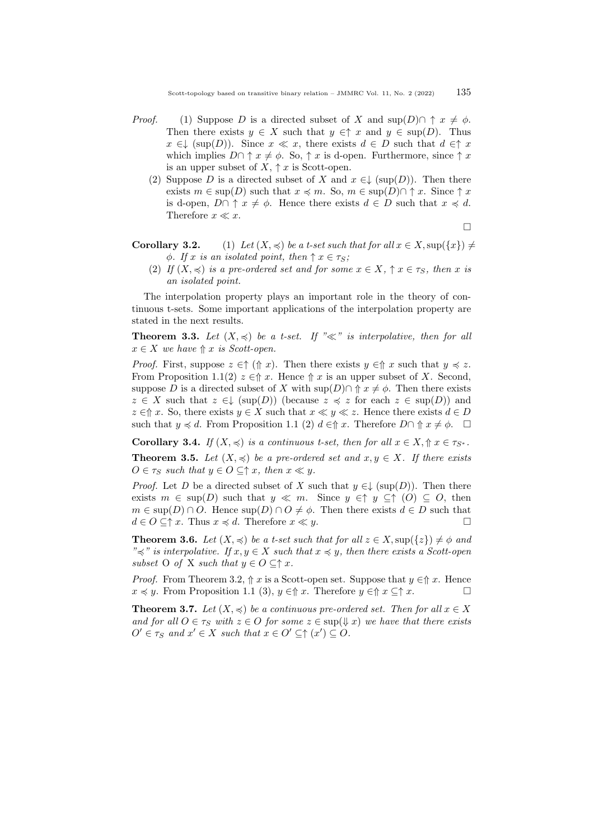- *Proof.* (1) Suppose D is a directed subset of X and  $\sup(D) \cap \uparrow x \neq \emptyset$ . Then there exists  $y \in X$  such that  $y \in \Upsilon$  and  $y \in \text{sup}(D)$ . Thus  $x \in \downarrow (\sup(D))$ . Since  $x \ll x$ , there exists  $d \in D$  such that  $d \in \uparrow x$ which implies  $D \cap \uparrow x \neq \emptyset$ . So,  $\uparrow x$  is d-open. Furthermore, since  $\uparrow x$ is an upper subset of  $X, \uparrow x$  is Scott-open.
	- (2) Suppose D is a directed subset of X and  $x \in L$  (sup(D)). Then there exists  $m \in \text{sup}(D)$  such that  $x \preccurlyeq m$ . So,  $m \in \text{sup}(D) \cap \uparrow x$ . Since  $\uparrow x$ is d-open,  $D \cap \uparrow x \neq \emptyset$ . Hence there exists  $d \in D$  such that  $x \preccurlyeq d$ . Therefore  $x \ll x$ .

$$
\qquad \qquad \Box
$$

**Corollary 3.2.** (1) Let  $(X, \preccurlyeq)$  be a t-set such that for all  $x \in X$ , sup $(\{x\}) \neq$  $\phi$ . If x is an isolated point, then  $\uparrow x \in \tau_s$ ;

(2) If  $(X, \preccurlyeq)$  is a pre-ordered set and for some  $x \in X$ ,  $\uparrow x \in \tau_S$ , then x is an isolated point.

The interpolation property plays an important role in the theory of continuous t-sets. Some important applications of the interpolation property are stated in the next results.

**Theorem 3.3.** Let  $(X, \preccurlyeq)$  be a t-set. If " $\ll$ " is interpolative, then for all  $x \in X$  we have  $\Uparrow x$  is Scott-open.

*Proof.* First, suppose  $z \in \uparrow (\uparrow x)$ . Then there exists  $y \in \uparrow x$  such that  $y \preccurlyeq z$ . From Proposition 1.1(2)  $z \in \Uparrow x$ . Hence  $\Uparrow x$  is an upper subset of X. Second, suppose D is a directed subset of X with  $\sup(D) \cap \Uparrow x \neq \emptyset$ . Then there exists  $z \in X$  such that  $z \in \mathcal{L}$  (sup(D)) (because  $z \preccurlyeq z$  for each  $z \in \text{sup}(D)$ ) and  $z \in \Uparrow x$ . So, there exists  $y \in X$  such that  $x \ll y \ll z$ . Hence there exists  $d \in D$ such that  $y \preccurlyeq d$ . From Proposition 1.1 (2)  $d \in \Uparrow x$ . Therefore  $D \cap \Uparrow x \neq \phi$ .  $\Box$ 

**Corollary 3.4.** If  $(X, \preccurlyeq)$  is a continuous t-set, then for all  $x \in X, \Uparrow x \in \tau_{S^*}.$ 

**Theorem 3.5.** Let  $(X, \preccurlyeq)$  be a pre-ordered set and  $x, y \in X$ . If there exists  $O \in \tau_S$  such that  $y \in O \subseteq \uparrow x$ , then  $x \ll y$ .

*Proof.* Let D be a directed subset of X such that  $y \in \downarrow (\sup(D))$ . Then there exists  $m \in \text{sup}(D)$  such that  $y \ll m$ . Since  $y \in \uparrow y \subseteq \uparrow (O) \subseteq O$ , then  $m \in \text{sup}(D) \cap O$ . Hence  $\text{sup}(D) \cap O \neq \emptyset$ . Then there exists  $d \in D$  such that  $d \in O \subseteq \uparrow x$ . Thus  $x \preccurlyeq d$ . Therefore  $x \ll y$ .

**Theorem 3.6.** Let  $(X, \preccurlyeq)$  be a t-set such that for all  $z \in X$ , sup $(\{z\}) \neq \emptyset$  and " $\preceq$ " is interpolative. If  $x, y \in X$  such that  $x \preceq y$ , then there exists a Scott-open subset O of X such that  $y \in O \subseteq \uparrow x$ .

*Proof.* From Theorem 3.2,  $\Uparrow x$  is a Scott-open set. Suppose that  $y \in \Uparrow x$ . Hence  $x \preccurlyeq y$ . From Proposition 1.1 (3),  $y \in \hat{\mathcal{T}}$  x. Therefore  $y \in \hat{\mathcal{T}}$  x.

**Theorem 3.7.** Let  $(X, \preccurlyeq)$  be a continuous pre-ordered set. Then for all  $x \in X$ and for all  $O \in \tau_s$  with  $z \in O$  for some  $z \in \text{sup}(\sqrt{y} x)$  we have that there exists  $O' \in \tau_S$  and  $x' \in X$  such that  $x \in O' \subseteq \uparrow (x') \subseteq O$ .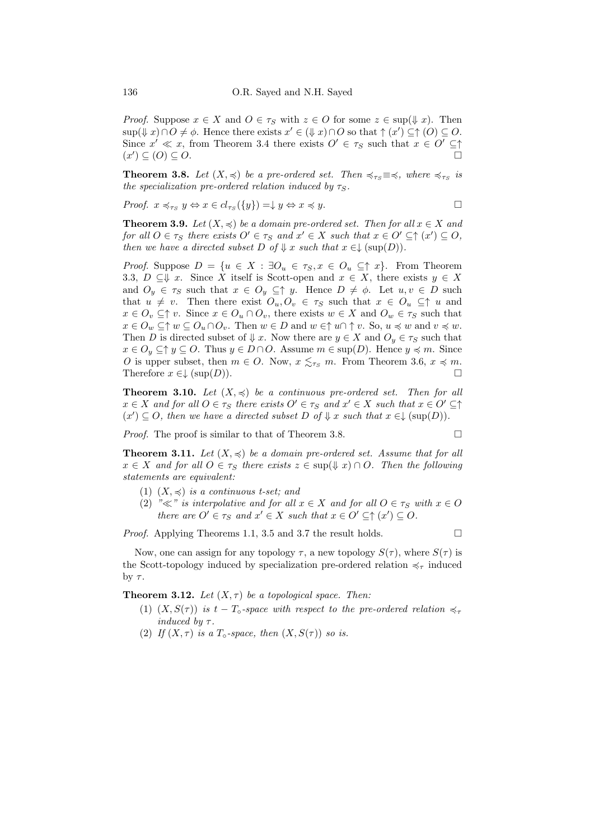*Proof.* Suppose  $x \in X$  and  $O \in \tau_S$  with  $z \in O$  for some  $z \in \text{sup}(\frac{1}{x})$ . Then  $\sup(\Downarrow x) \cap O \neq \phi$ . Hence there exists  $x' \in (\Downarrow x) \cap O$  so that  $\uparrow (x') \subseteq \uparrow (O) \subseteq O$ . Since  $x' \ll x$ , from Theorem 3.4 there exists  $O' \in \tau_S$  such that  $x \in O' \subseteq \uparrow$  $(x') \subseteq (0) \subseteq 0.$ 

**Theorem 3.8.** Let  $(X, \preccurlyeq)$  be a pre-ordered set. Then  $\preccurlyeq_{\tau_S} \equiv \preccurlyeq$ , where  $\preccurlyeq_{\tau_S}$  is the specialization pre-ordered relation induced by  $\tau_S$ .

Proof.  $x \preccurlyeq_{\tau_S} y \Leftrightarrow x \in cl_{\tau_S}(\{y\}) = \downarrow y \Leftrightarrow x \preccurlyeq y.$ 

**Theorem 3.9.** Let  $(X, \preccurlyeq)$  be a domain pre-ordered set. Then for all  $x \in X$  and for all  $O \in \tau_S$  there exists  $O' \in \tau_S$  and  $x' \in X$  such that  $x \in O' \subseteq \uparrow (x') \subseteq O$ , then we have a directed subset D of  $\Downarrow$  x such that  $x \in \downarrow (\sup(D)).$ 

*Proof.* Suppose  $D = \{u \in X : \exists O_u \in \tau_S, x \in O_u \subseteq \uparrow x\}$ . From Theorem 3.3,  $D \subseteq V$  x. Since X itself is Scott-open and  $x \in X$ , there exists  $y \in X$ and  $O_y \in \tau_S$  such that  $x \in O_y \subseteq \uparrow y$ . Hence  $D \neq \phi$ . Let  $u, v \in D$  such that  $u \neq v$ . Then there exist  $O_u, O_v \in \tau_S$  such that  $x \in O_u \subseteq \uparrow u$  and  $x \in O_v \subseteq \uparrow v$ . Since  $x \in O_u \cap O_v$ , there exists  $w \in X$  and  $O_w \in \tau_S$  such that  $x \in O_w \subseteq \uparrow w \subseteq O_u \cap O_v$ . Then  $w \in D$  and  $w \in \uparrow u \cap \uparrow v$ . So,  $u \preccurlyeq w$  and  $v \preccurlyeq w$ . Then D is directed subset of  $\downarrow x$ . Now there are  $y \in X$  and  $O_y \in \tau_S$  such that  $x \in O_y \subseteq \uparrow y \subseteq O$ . Thus  $y \in D \cap O$ . Assume  $m \in \text{sup}(D)$ . Hence  $y \preccurlyeq m$ . Since O is upper subset, then  $m \in O$ . Now,  $x \leq_{\tau_S} m$ . From Theorem 3.6,  $x \preccurlyeq m$ . Therefore  $x \in \downarrow (\text{sup}(D)).$ 

**Theorem 3.10.** Let  $(X, \leq)$  be a continuous pre-ordered set. Then for all  $x \in X$  and for all  $O \in \tau_S$  there exists  $O' \in \tau_S$  and  $x' \in X$  such that  $x \in O' \subseteq \uparrow$  $(x') \subseteq O$ , then we have a directed subset D of  $\Downarrow$  x such that  $x \in \downarrow (\sup(D))$ .

*Proof.* The proof is similar to that of Theorem 3.8.

**Theorem 3.11.** Let  $(X, \preccurlyeq)$  be a domain pre-ordered set. Assume that for all  $x \in X$  and for all  $O \in \tau_S$  there exists  $z \in \text{sup}(\frac{1}{x}) \cap O$ . Then the following statements are equivalent:

- (1)  $(X, \preccurlyeq)$  is a continuous t-set; and
- (2) " $\ll$ " is interpolative and for all  $x \in X$  and for all  $O \in \tau_S$  with  $x \in O$ there are  $O' \in \tau_S$  and  $x' \in X$  such that  $x \in O' \subseteq \uparrow (x') \subseteq O$ .

*Proof.* Applying Theorems 1.1, 3.5 and 3.7 the result holds.  $\square$ 

Now, one can assign for any topology  $\tau$ , a new topology  $S(\tau)$ , where  $S(\tau)$  is the Scott-topology induced by specialization pre-ordered relation  $\preccurlyeq_{\tau}$  induced by  $\tau$ .

**Theorem 3.12.** Let  $(X, \tau)$  be a topological space. Then:

- (1)  $(X, S(\tau))$  is  $t T_{\circ}$ -space with respect to the pre-ordered relation  $\preccurlyeq_{\tau}$ induced by  $\tau$ .
- (2) If  $(X, \tau)$  is a  $T \circ space$ , then  $(X, S(\tau))$  so is.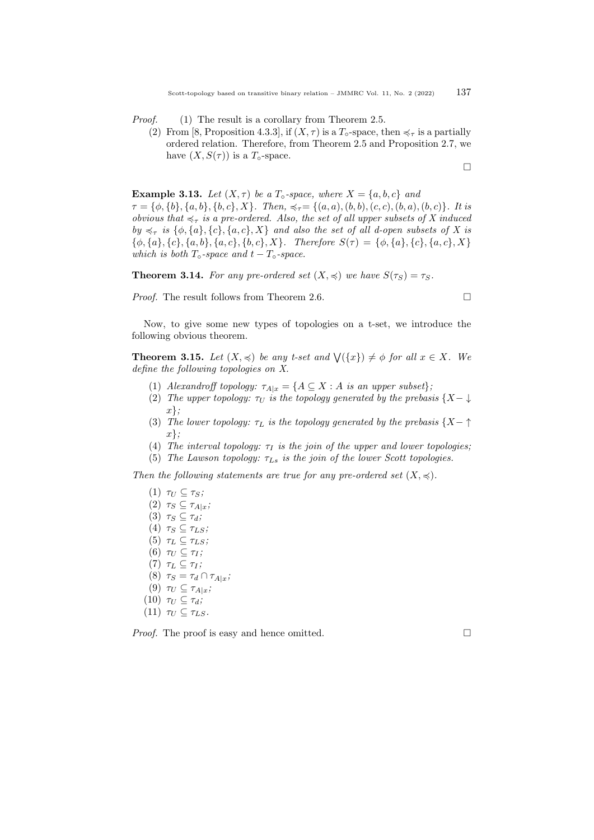*Proof.* (1) The result is a corollary from Theorem 2.5.

(2) From [8, Proposition 4.3.3], if  $(X, \tau)$  is a  $T_{\circ}$ -space, then  $\preccurlyeq_{\tau}$  is a partially ordered relation. Therefore, from Theorem 2.5 and Proposition 2.7, we have  $(X, S(\tau))$  is a  $T_{\circ}$ -space.

$$
\Box
$$

**Example 3.13.** Let  $(X, \tau)$  be a  $T \circ space$ , where  $X = \{a, b, c\}$  and

 $\tau = \{\phi, \{b\}, \{a, b\}, \{b, c\}, X\}$ . Then,  $\preccurlyeq_{\tau} = \{(a, a), (b, b), (c, c), (b, a), (b, c)\}$ . It is obvious that  $\preccurlyeq_{\tau}$  is a pre-ordered. Also, the set of all upper subsets of X induced by  $\preccurlyeq_{\tau}$  is  $\{\phi, \{a\}, \{c\}, \{a, c\}, X\}$  and also the set of all d-open subsets of X is  ${\phi, {a}, {c}, {a, b}, {a, c}, {b, c}, X}.$  Therefore  $S(\tau) = {\phi, {a}, {c}, {a, c}, X}$ which is both  $T_{\circ}$ -space and  $t - T_{\circ}$ -space.

**Theorem 3.14.** For any pre-ordered set  $(X, \preccurlyeq)$  we have  $S(\tau_S) = \tau_S$ .

Proof. The result follows from Theorem 2.6.

$$
\Box
$$

Now, to give some new types of topologies on a t-set, we introduce the following obvious theorem.

**Theorem 3.15.** Let  $(X, \preccurlyeq)$  be any t-set and  $\bigvee (\{x\}) \neq \emptyset$  for all  $x \in X$ . We define the following topologies on X.

- (1) Alexandroff topology:  $\tau_{A|x} = \{A \subseteq X : A \text{ is an upper subset}\};$
- (2) The upper topology:  $\tau_U$  is the topology generated by the prebasis {X- $\downarrow$  $x\}$ ;
- (3) The lower topology:  $\tau_L$  is the topology generated by the prebasis  $\{X \uparrow\}$  $x\}$ ;
- (4) The interval topology:  $\tau_I$  is the join of the upper and lower topologies;
- (5) The Lawson topology:  $\tau_{Ls}$  is the join of the lower Scott topologies.

Then the following statements are true for any pre-ordered set  $(X, \preccurlyeq)$ .

(1)  $\tau_U \subset \tau_S$ ; (2)  $\tau_S \subseteq \tau_{A|x}$ ; (3)  $\tau_S \subseteq \tau_d$ ; (4)  $\tau_S \subseteq \tau_{LS};$ (5)  $\tau_L \subseteq \tau_{LS};$ (6)  $\tau_U \subseteq \tau_I$ ; (7)  $\tau_L \subseteq \tau_I$ ; (8)  $\tau_S = \tau_d \cap \tau_{A|x}$ ; (9)  $\tau_U \subseteq \tau_{A|x}$ ; (10)  $\tau_U \subseteq \tau_d$ ; (11)  $\tau_U \subseteq \tau_{LS}$ . *Proof.* The proof is easy and hence omitted.  $\square$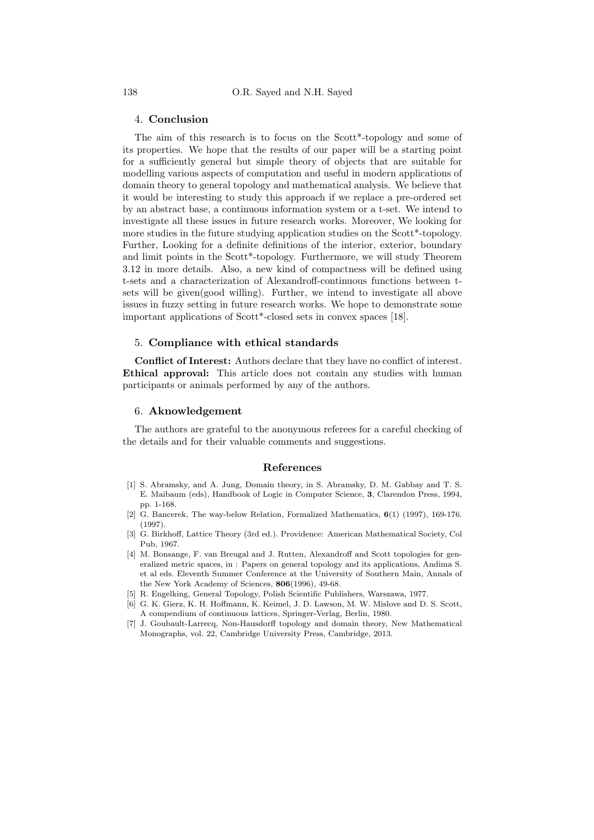### 4. Conclusion

The aim of this research is to focus on the Scott\*-topology and some of its properties. We hope that the results of our paper will be a starting point for a sufficiently general but simple theory of objects that are suitable for modelling various aspects of computation and useful in modern applications of domain theory to general topology and mathematical analysis. We believe that it would be interesting to study this approach if we replace a pre-ordered set by an abstract base, a continuous information system or a t-set. We intend to investigate all these issues in future research works. Moreover, We looking for more studies in the future studying application studies on the Scott\*-topology. Further, Looking for a definite definitions of the interior, exterior, boundary and limit points in the Scott\*-topology. Furthermore, we will study Theorem 3.12 in more details. Also, a new kind of compactness will be defined using t-sets and a characterization of Alexandroff-continuous functions between tsets will be given(good willing). Further, we intend to investigate all above issues in fuzzy setting in future research works. We hope to demonstrate some important applications of Scott\*-closed sets in convex spaces [\[18\]](#page-12-12).

# 5. Compliance with ethical standards

Conflict of Interest: Authors declare that they have no conflict of interest. Ethical approval: This article does not contain any studies with human participants or animals performed by any of the authors.

## 6. Aknowledgement

The authors are grateful to the anonymous referees for a careful checking of the details and for their valuable comments and suggestions.

#### References

- <span id="page-11-2"></span>[1] S. Abramsky, and A. Jung, Domain theory, in S. Abramsky, D. M. Gabbay and T. S. E. Maibaum (eds), Handbook of Logic in Computer Science, 3, Clarendon Press, 1994, pp. 1-168.
- <span id="page-11-6"></span>[2] G. Bancerek, The way-below Relation, Formalized Mathematics, 6(1) (1997), 169-176.  $(1997)$
- <span id="page-11-4"></span>[3] G. Birkhoff, Lattice Theory (3rd ed.). Providence: American Mathematical Society, Col Pub, 1967.
- <span id="page-11-0"></span>[4] M. Bonsange, F. van Breugal and J. Rutten, Alexandroff and Scott topologies for generalized metric spaces, in : Papers on general topology and its applications, Andima S. et al eds. Eleventh Summer Conference at the University of Southern Main, Annals of the New York Academy of Sciences, 806(1996), 49-68.
- <span id="page-11-3"></span>[5] R. Engelking, General Topology, Polish Scientific Publishers, Warszawa, 1977.
- <span id="page-11-1"></span>[6] G. K. Gierz, K. H. Hoffmann, K. Keimel, J. D. Lawson, M. W. Mislove and D. S. Scott, A compendium of continuous lattices, Springer-Verlag, Berlin, 1980.
- <span id="page-11-5"></span>[7] J. Goubault-Larrecq, Non-Hausdorff topology and domain theory, New Mathematical Monographs, vol. 22, Cambridge University Press, Cambridge, 2013.